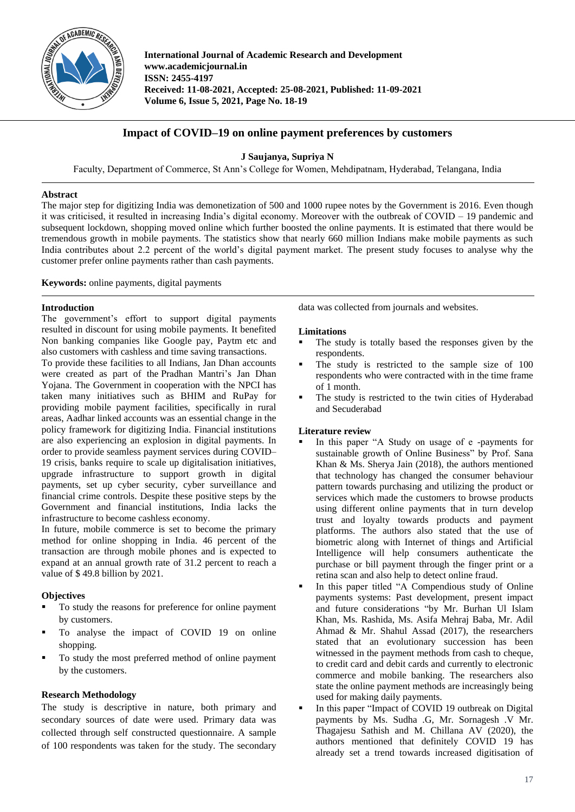

**International Journal of Academic Research and Development www.academicjournal.in ISSN: 2455-4197 Received: 11-08-2021, Accepted: 25-08-2021, Published: 11-09-2021 Volume 6, Issue 5, 2021, Page No. 18-19**

# **Impact of COVID–19 on online payment preferences by customers**

**J Saujanya, Supriya N**

Faculty, Department of Commerce, St Ann's College for Women, Mehdipatnam, Hyderabad, Telangana, India

# **Abstract**

The major step for digitizing India was demonetization of 500 and 1000 rupee notes by the Government is 2016. Even though it was criticised, it resulted in increasing India's digital economy. Moreover with the outbreak of COVID – 19 pandemic and subsequent lockdown, shopping moved online which further boosted the online payments. It is estimated that there would be tremendous growth in mobile payments. The statistics show that nearly 660 million Indians make mobile payments as such India contributes about 2.2 percent of the world's digital payment market. The present study focuses to analyse why the customer prefer online payments rather than cash payments.

**Keywords:** online payments, digital payments

# **Introduction**

The government's effort to support digital payments resulted in discount for using mobile payments. It benefited Non banking companies like Google pay, Paytm etc and also customers with cashless and time saving transactions.

To provide these facilities to all Indians, Jan Dhan accounts were created as part of the Pradhan Mantri's Jan Dhan Yojana. The Government in cooperation with the NPCI has taken many initiatives such as BHIM and RuPay for providing mobile payment facilities, specifically in rural areas, Aadhar linked accounts was an essential change in the policy framework for digitizing India. Financial institutions are also experiencing an explosion in digital payments. In order to provide seamless payment services during COVID– 19 crisis, banks require to scale up digitalisation initiatives, upgrade infrastructure to support growth in digital payments, set up cyber security, cyber surveillance and financial crime controls. Despite these positive steps by the Government and financial institutions, India lacks the infrastructure to become cashless economy.

In future, mobile commerce is set to become the primary method for online shopping in India. 46 percent of the transaction are through mobile phones and is expected to expand at an annual growth rate of 31.2 percent to reach a value of \$ 49.8 billion by 2021.

# **Objectives**

- To study the reasons for preference for online payment by customers.
- To analyse the impact of COVID 19 on online shopping.
- To study the most preferred method of online payment by the customers.

# **Research Methodology**

The study is descriptive in nature, both primary and secondary sources of date were used. Primary data was collected through self constructed questionnaire. A sample of 100 respondents was taken for the study. The secondary data was collected from journals and websites.

# **Limitations**

- The study is totally based the responses given by the respondents.
- The study is restricted to the sample size of 100 respondents who were contracted with in the time frame of 1 month.
- The study is restricted to the twin cities of Hyderabad and Secuderabad

# **Literature review**

- In this paper "A Study on usage of e -payments for sustainable growth of Online Business" by Prof. Sana Khan & Ms. Sherya Jain (2018), the authors mentioned that technology has changed the consumer behaviour pattern towards purchasing and utilizing the product or services which made the customers to browse products using different online payments that in turn develop trust and loyalty towards products and payment platforms. The authors also stated that the use of biometric along with Internet of things and Artificial Intelligence will help consumers authenticate the purchase or bill payment through the finger print or a retina scan and also help to detect online fraud.
- In this paper titled "A Compendious study of Online payments systems: Past development, present impact and future considerations "by Mr. Burhan Ul Islam Khan, Ms. Rashida, Ms. Asifa Mehraj Baba, Mr. Adil Ahmad & Mr. Shahul Assad (2017), the researchers stated that an evolutionary succession has been witnessed in the payment methods from cash to cheque, to credit card and debit cards and currently to electronic commerce and mobile banking. The researchers also state the online payment methods are increasingly being used for making daily payments.
- In this paper "Impact of COVID 19 outbreak on Digital payments by Ms. Sudha .G, Mr. Sornagesh .V Mr. Thagajesu Sathish and M. Chillana AV (2020), the authors mentioned that definitely COVID 19 has already set a trend towards increased digitisation of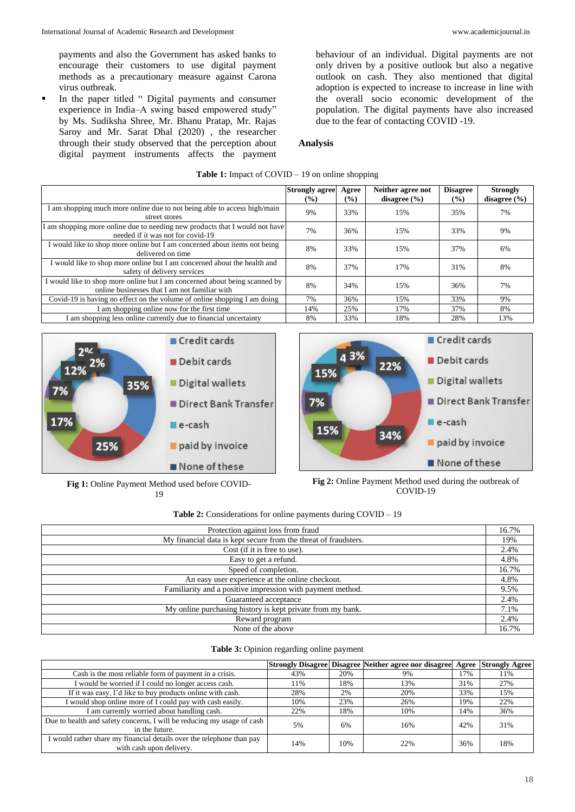payments and also the Government has asked banks to encourage their customers to use digital payment methods as a precautionary measure against Carona virus outbreak.

 In the paper titled " Digital payments and consumer experience in India–A swing based empowered study" by Ms. Sudiksha Shree, Mr. Bhanu Pratap, Mr. Rajas Saroy and Mr. Sarat Dhal (2020) , the researcher through their study observed that the perception about digital payment instruments affects the payment behaviour of an individual. Digital payments are not only driven by a positive outlook but also a negative outlook on cash. They also mentioned that digital adoption is expected to increase to increase in line with the overall socio economic development of the population. The digital payments have also increased due to the fear of contacting COVID -19.

### **Analysis**

### **Table 1:** Impact of COVID – 19 on online shopping

|                                                                                                                             | <b>Strongly agree</b> | Agree         | Neither agree not | <b>Disagree</b> | <b>Strongly</b>  |  |
|-----------------------------------------------------------------------------------------------------------------------------|-----------------------|---------------|-------------------|-----------------|------------------|--|
|                                                                                                                             | $($ %)                | $\frac{9}{6}$ | disagree $(\% )$  | $\frac{9}{6}$   | disagree $(\% )$ |  |
| I am shopping much more online due to not being able to access high/main                                                    | 9%                    | 33%           | 15%               | 35%             | 7%               |  |
| street stores                                                                                                               |                       |               |                   |                 |                  |  |
| I am shopping more online due to needing new products that I would not have<br>needed if it was not for covid-19            | 7%                    | 36%           | 15%               | 33%             | 9%               |  |
| I would like to shop more online but I am concerned about items not being<br>delivered on time                              | 8%                    | 33%           | 15%               | 37%             | 6%               |  |
| I would like to shop more online but I am concerned about the health and<br>safety of delivery services                     | 8%                    | 37%           | 17%               | 31%             | 8%               |  |
| I would like to shop more online but I am concerned about being scanned by<br>online businesses that I am not familiar with | 8%                    | 34%           | 15%               | 36%             | 7%               |  |
| Covid-19 is having no effect on the volume of online shopping I am doing                                                    | 7%                    | 36%           | 15%               | 33%             | 9%               |  |
| I am shopping online now for the first time                                                                                 | 14%                   | 25%           | 17%               | 37%             | 8%               |  |
| I am shopping less online currently due to financial uncertainty                                                            | 8%                    | 33%           | 18%               | 28%             | 13%              |  |





**Fig 1:** Online Payment Method used before COVID-19

**Fig 2:** Online Payment Method used during the outbreak of COVID-19

|  |  | <b>Table 2:</b> Considerations for online payments during $COVID - 19$ |  |  |  |  |  |
|--|--|------------------------------------------------------------------------|--|--|--|--|--|
|--|--|------------------------------------------------------------------------|--|--|--|--|--|

| Protection against loss from fraud                              | 16.7% |
|-----------------------------------------------------------------|-------|
| My financial data is kept secure from the threat of fraudsters. | 19%   |
| Cost (if it is free to use).                                    | 2.4%  |
| Easy to get a refund.                                           | 4.8%  |
| Speed of completion.                                            | 16.7% |
| An easy user experience at the online checkout.                 | 4.8%  |
| Familiarity and a positive impression with payment method.      | 9.5%  |
| Guaranteed acceptance                                           | 2.4%  |
| My online purchasing history is kept private from my bank.      | 7.1%  |
| Reward program                                                  | 2.4%  |
| None of the above                                               | 16.7% |

#### **Table 3:** Opinion regarding online payment

|                                                                                                   |     |     | <b>Strongly Disagree Disagree Neither agree nor disagree</b> |     | <b>Agree Strongly Agree</b> |
|---------------------------------------------------------------------------------------------------|-----|-----|--------------------------------------------------------------|-----|-----------------------------|
| Cash is the most reliable form of payment in a crisis.                                            | 43% | 20% | 9%                                                           | 7%  | 11%                         |
| I would be worried if I could no longer access cash.                                              | 11% | 18% | 13%                                                          | 31% | 27%                         |
| If it was easy, I'd like to buy products online with cash.                                        | 28% | 2%  | 20%                                                          | 33% | 15%                         |
| I would shop online more of I could pay with cash easily.                                         | 10% | 23% | 26%                                                          | 19% | 22%                         |
| I am currently worried about handling cash.                                                       | 22% | 18% | 10%                                                          | 14% | 36%                         |
| Due to health and safety concerns, I will be reducing my usage of cash<br>in the future.          | 5%  | 6%  | 16%                                                          | 42% | 31%                         |
| I would rather share my financial details over the telephone than pay<br>with cash upon delivery. | 14% | 10% | 22%                                                          | 36% | 18%                         |